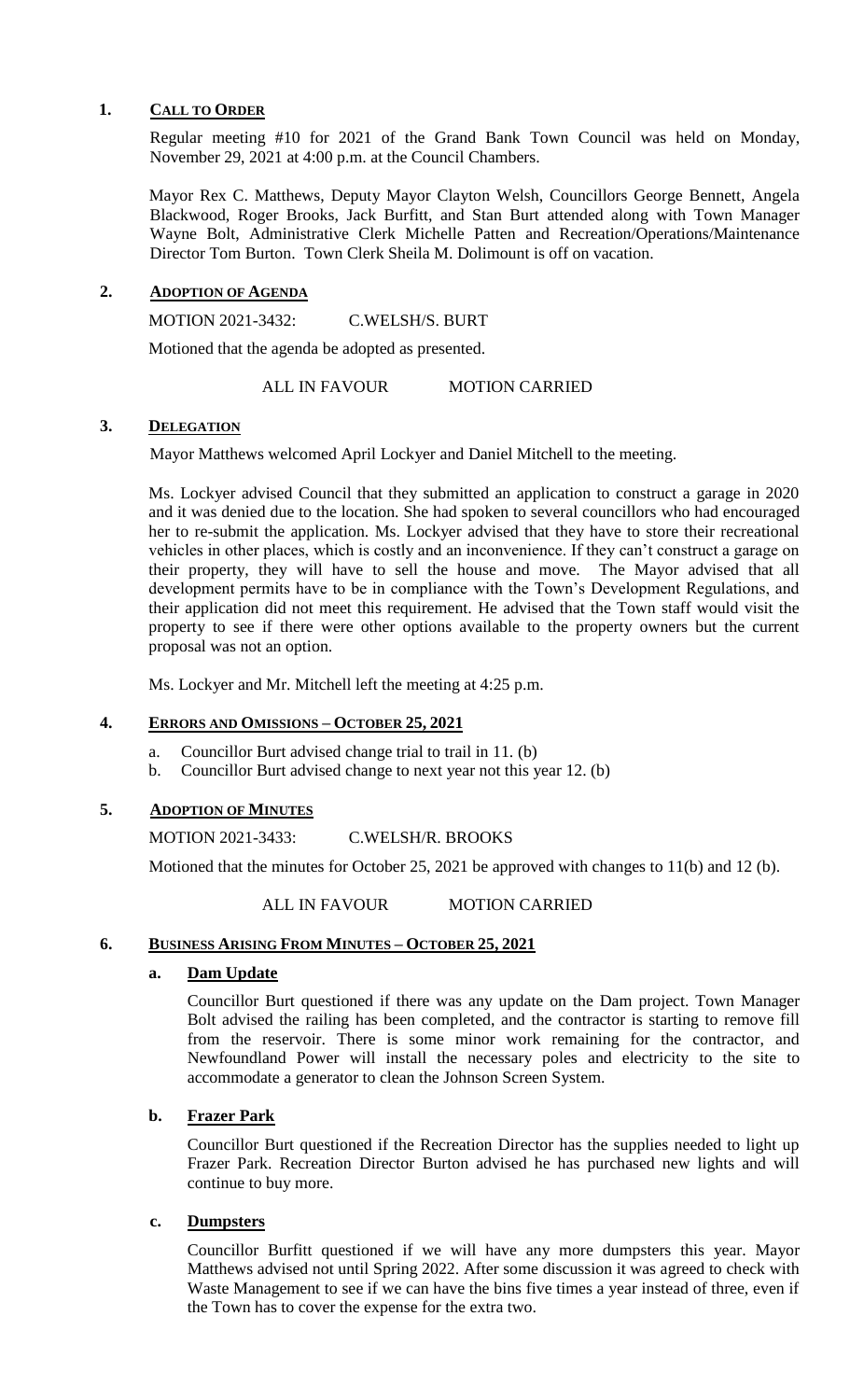## **1. CALL TO ORDER**

Regular meeting #10 for 2021 of the Grand Bank Town Council was held on Monday, November 29, 2021 at 4:00 p.m. at the Council Chambers.

Mayor Rex C. Matthews, Deputy Mayor Clayton Welsh, Councillors George Bennett, Angela Blackwood, Roger Brooks, Jack Burfitt, and Stan Burt attended along with Town Manager Wayne Bolt, Administrative Clerk Michelle Patten and Recreation/Operations/Maintenance Director Tom Burton. Town Clerk Sheila M. Dolimount is off on vacation.

## **2. ADOPTION OF AGENDA**

MOTION 2021-3432: C.WELSH/S. BURT

Motioned that the agenda be adopted as presented.

ALL IN FAVOUR MOTION CARRIED

#### **3. DELEGATION**

Mayor Matthews welcomed April Lockyer and Daniel Mitchell to the meeting.

Ms. Lockyer advised Council that they submitted an application to construct a garage in 2020 and it was denied due to the location. She had spoken to several councillors who had encouraged her to re-submit the application. Ms. Lockyer advised that they have to store their recreational vehicles in other places, which is costly and an inconvenience. If they can't construct a garage on their property, they will have to sell the house and move. The Mayor advised that all development permits have to be in compliance with the Town's Development Regulations, and their application did not meet this requirement. He advised that the Town staff would visit the property to see if there were other options available to the property owners but the current proposal was not an option.

Ms. Lockyer and Mr. Mitchell left the meeting at 4:25 p.m.

## **4. ERRORS AND OMISSIONS – OCTOBER 25, 2021**

- a. Councillor Burt advised change trial to trail in 11. (b)
- b. Councillor Burt advised change to next year not this year 12. (b)

## **5. ADOPTION OF MINUTES**

MOTION 2021-3433: C.WELSH/R. BROOKS

Motioned that the minutes for October 25, 2021 be approved with changes to 11(b) and 12 (b).

ALL IN FAVOUR MOTION CARRIED

## **6. BUSINESS ARISING FROM MINUTES – OCTOBER 25, 2021**

## **a. Dam Update**

Councillor Burt questioned if there was any update on the Dam project. Town Manager Bolt advised the railing has been completed, and the contractor is starting to remove fill from the reservoir. There is some minor work remaining for the contractor, and Newfoundland Power will install the necessary poles and electricity to the site to accommodate a generator to clean the Johnson Screen System.

## **b. Frazer Park**

Councillor Burt questioned if the Recreation Director has the supplies needed to light up Frazer Park. Recreation Director Burton advised he has purchased new lights and will continue to buy more.

#### **c. Dumpsters**

Councillor Burfitt questioned if we will have any more dumpsters this year. Mayor Matthews advised not until Spring 2022. After some discussion it was agreed to check with Waste Management to see if we can have the bins five times a year instead of three, even if the Town has to cover the expense for the extra two.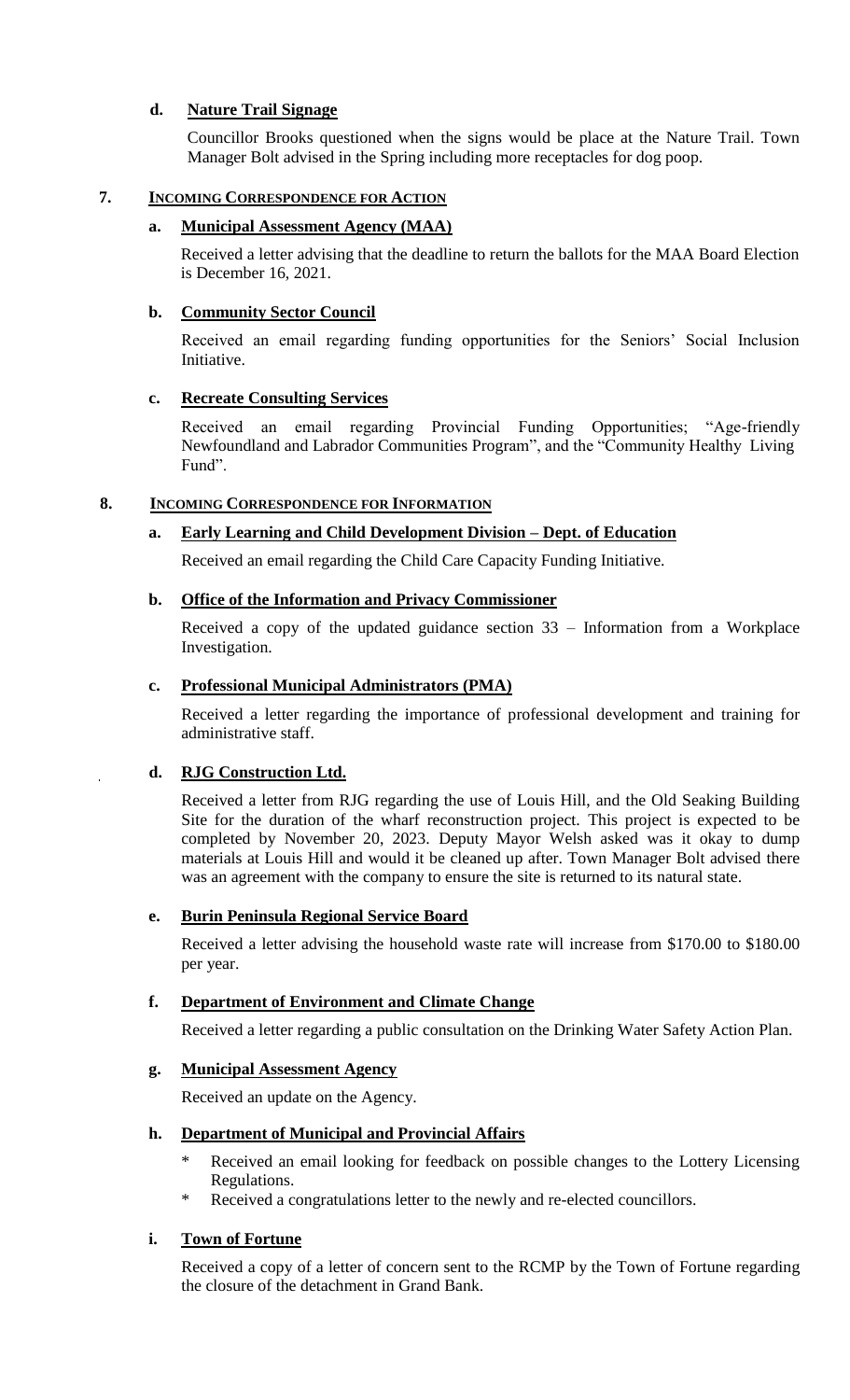# **d. Nature Trail Signage**

Councillor Brooks questioned when the signs would be place at the Nature Trail. Town Manager Bolt advised in the Spring including more receptacles for dog poop.

## **7. INCOMING CORRESPONDENCE FOR ACTION**

## **a. Municipal Assessment Agency (MAA)**

Received a letter advising that the deadline to return the ballots for the MAA Board Election is December 16, 2021.

## **b. Community Sector Council**

Received an email regarding funding opportunities for the Seniors' Social Inclusion Initiative.

## **c. Recreate Consulting Services**

Received an email regarding Provincial Funding Opportunities; "Age-friendly Newfoundland and Labrador Communities Program", and the "Community Healthy Living Fund".

## **8. INCOMING CORRESPONDENCE FOR INFORMATION**

## **a. Early Learning and Child Development Division – Dept. of Education**

Received an email regarding the Child Care Capacity Funding Initiative.

## **b. Office of the Information and Privacy Commissioner**

Received a copy of the updated guidance section 33 – Information from a Workplace Investigation.

## **c. Professional Municipal Administrators (PMA)**

Received a letter regarding the importance of professional development and training for administrative staff.

# **d. RJG Construction Ltd.**

Received a letter from RJG regarding the use of Louis Hill, and the Old Seaking Building Site for the duration of the wharf reconstruction project. This project is expected to be completed by November 20, 2023. Deputy Mayor Welsh asked was it okay to dump materials at Louis Hill and would it be cleaned up after. Town Manager Bolt advised there was an agreement with the company to ensure the site is returned to its natural state.

## **e. Burin Peninsula Regional Service Board**

Received a letter advising the household waste rate will increase from \$170.00 to \$180.00 per year.

# **f. Department of Environment and Climate Change**

Received a letter regarding a public consultation on the Drinking Water Safety Action Plan.

## **g. Municipal Assessment Agency**

Received an update on the Agency.

# **h. Department of Municipal and Provincial Affairs**

- \* Received an email looking for feedback on possible changes to the Lottery Licensing Regulations.
- Received a congratulations letter to the newly and re-elected councillors.

# **i. Town of Fortune**

Received a copy of a letter of concern sent to the RCMP by the Town of Fortune regarding the closure of the detachment in Grand Bank.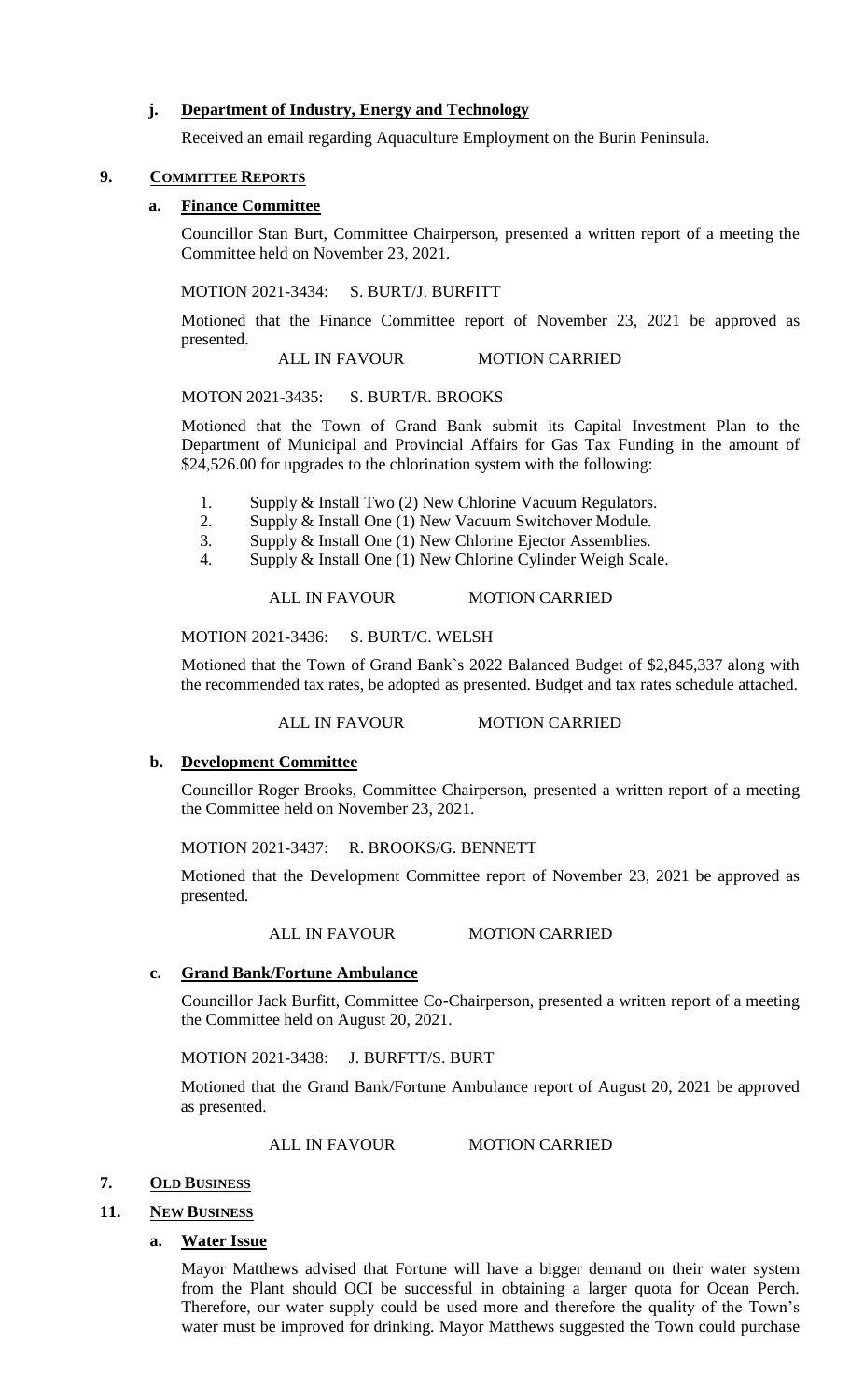## **j. Department of Industry, Energy and Technology**

Received an email regarding Aquaculture Employment on the Burin Peninsula.

## **9. COMMITTEE REPORTS**

### **a. Finance Committee**

Councillor Stan Burt, Committee Chairperson, presented a written report of a meeting the Committee held on November 23, 2021.

#### MOTION 2021-3434: S. BURT/J. BURFITT

Motioned that the Finance Committee report of November 23, 2021 be approved as presented.

ALL IN FAVOUR MOTION CARRIED

#### MOTON 2021-3435: S. BURT/R. BROOKS

Motioned that the Town of Grand Bank submit its Capital Investment Plan to the Department of Municipal and Provincial Affairs for Gas Tax Funding in the amount of \$24,526.00 for upgrades to the chlorination system with the following:

- 1. Supply & Install Two (2) New Chlorine Vacuum Regulators.
- 2. Supply & Install One (1) New Vacuum Switchover Module.
- 3. Supply & Install One (1) New Chlorine Ejector Assemblies.
- 4. Supply & Install One (1) New Chlorine Cylinder Weigh Scale.

### ALL IN FAVOUR MOTION CARRIED

## MOTION 2021-3436: S. BURT/C. WELSH

Motioned that the Town of Grand Bank`s 2022 Balanced Budget of \$2,845,337 along with the recommended tax rates, be adopted as presented. Budget and tax rates schedule attached.

ALL IN FAVOUR MOTION CARRIED

#### **b. Development Committee**

Councillor Roger Brooks, Committee Chairperson, presented a written report of a meeting the Committee held on November 23, 2021.

## MOTION 2021-3437: R. BROOKS/G. BENNETT

Motioned that the Development Committee report of November 23, 2021 be approved as presented.

ALL IN FAVOUR MOTION CARRIED

## **c. Grand Bank/Fortune Ambulance**

Councillor Jack Burfitt, Committee Co-Chairperson, presented a written report of a meeting the Committee held on August 20, 2021.

MOTION 2021-3438: J. BURFTT/S. BURT

Motioned that the Grand Bank/Fortune Ambulance report of August 20, 2021 be approved as presented.

ALL IN FAVOUR MOTION CARRIED

## **7. OLD BUSINESS**

## **11. NEW BUSINESS**

## **a. Water Issue**

Mayor Matthews advised that Fortune will have a bigger demand on their water system from the Plant should OCI be successful in obtaining a larger quota for Ocean Perch. Therefore, our water supply could be used more and therefore the quality of the Town's water must be improved for drinking. Mayor Matthews suggested the Town could purchase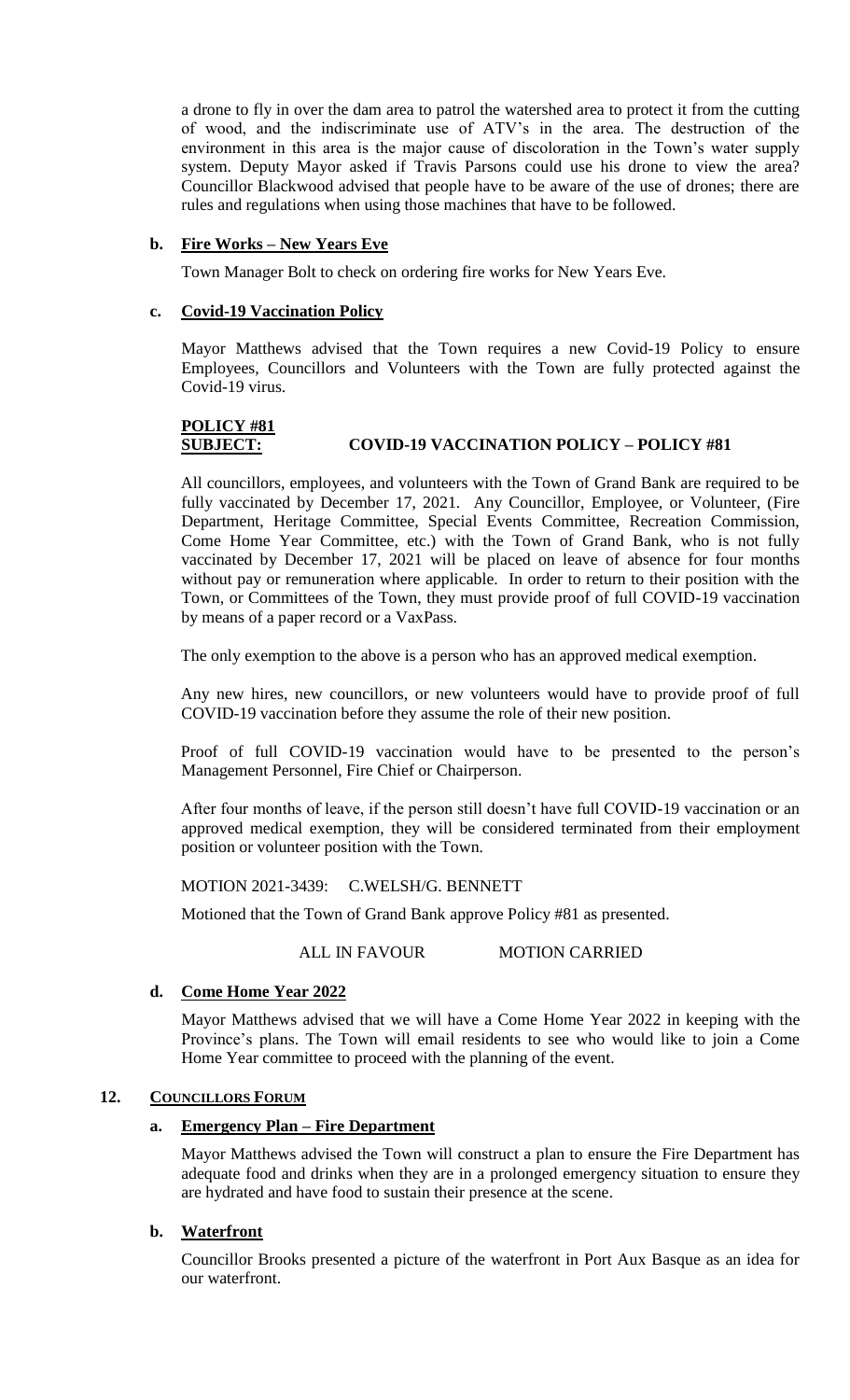a drone to fly in over the dam area to patrol the watershed area to protect it from the cutting of wood, and the indiscriminate use of ATV's in the area. The destruction of the environment in this area is the major cause of discoloration in the Town's water supply system. Deputy Mayor asked if Travis Parsons could use his drone to view the area? Councillor Blackwood advised that people have to be aware of the use of drones; there are rules and regulations when using those machines that have to be followed.

## **b. Fire Works – New Years Eve**

Town Manager Bolt to check on ordering fire works for New Years Eve.

### **c. Covid-19 Vaccination Policy**

Mayor Matthews advised that the Town requires a new Covid-19 Policy to ensure Employees, Councillors and Volunteers with the Town are fully protected against the Covid-19 virus.

# **POLICY #81 SUBJECT: COVID-19 VACCINATION POLICY – POLICY #81**

All councillors, employees, and volunteers with the Town of Grand Bank are required to be fully vaccinated by December 17, 2021. Any Councillor, Employee, or Volunteer, (Fire Department, Heritage Committee, Special Events Committee, Recreation Commission, Come Home Year Committee, etc.) with the Town of Grand Bank, who is not fully vaccinated by December 17, 2021 will be placed on leave of absence for four months without pay or remuneration where applicable. In order to return to their position with the Town, or Committees of the Town, they must provide proof of full COVID-19 vaccination by means of a paper record or a VaxPass.

The only exemption to the above is a person who has an approved medical exemption.

Any new hires, new councillors, or new volunteers would have to provide proof of full COVID-19 vaccination before they assume the role of their new position.

Proof of full COVID-19 vaccination would have to be presented to the person's Management Personnel, Fire Chief or Chairperson.

After four months of leave, if the person still doesn't have full COVID-19 vaccination or an approved medical exemption, they will be considered terminated from their employment position or volunteer position with the Town.

MOTION 2021-3439: C.WELSH/G. BENNETT

Motioned that the Town of Grand Bank approve Policy #81 as presented.

ALL IN FAVOUR MOTION CARRIED

#### **d. Come Home Year 2022**

Mayor Matthews advised that we will have a Come Home Year 2022 in keeping with the Province's plans. The Town will email residents to see who would like to join a Come Home Year committee to proceed with the planning of the event.

#### **12. COUNCILLORS FORUM**

## **a. Emergency Plan – Fire Department**

Mayor Matthews advised the Town will construct a plan to ensure the Fire Department has adequate food and drinks when they are in a prolonged emergency situation to ensure they are hydrated and have food to sustain their presence at the scene.

## **b. Waterfront**

Councillor Brooks presented a picture of the waterfront in Port Aux Basque as an idea for our waterfront.